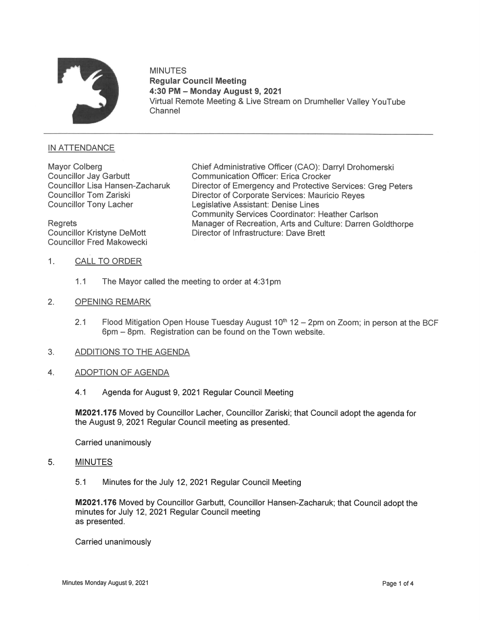

# MINUTES Regular Council Meeting 4:30 PM — Monday August 9, 2021 Virtual Remote Meeting & Live Stream on Drumheller Valley YouTube Channel

## INATTENDANCE

Councillor Fred Makowecki

Mayor Colberg **Chief Administrative Officer (CAO): Darryl Drohomerski** Councillor Jay Garbutt Communication Officer: Erica Crocker<br>Councillor Lisa Hansen-Zacharuk Director of Emergency and Protective Councillor Lisa Hansen-Zacharuk Director of Emergency and Protective Services: Greg Peters<br>Councillor Tom Zariski **Director of Corporate Services: Mauricio Reves** Councillor Tom Zariski **Director of Corporate Services: Mauricio Reyes**<br>Councillor Tony Lacher **Constanting Legislative Assistant: Denise Lines** Legislative Assistant: Denise Lines Community Services Coordinator: Heather Carlson Regrets Manager of Recreation, Arts and Culture: Darren Goldthorpe<br>Councillor Kristyne DeMott Director of Infrastructure: Dave Brett Director of Infrastructure: Dave Brett

- 1. CALL TO ORDER
	- 1.1 The Mayor called the meeting to order at 4:31pm
- 2. OPENING REMARK
	- 2.1 Flood Mitigation Open House Tuesday August  $10<sup>th</sup> 12 2pm$  on Zoom; in person at the BCF 6pm — 8pm. Registration can be found on the Town website.
- 3. ADDITIONS TO THE AGENDA
- 4. ADOPTION OF AGENDA
	- 4.1 Agenda for August 9, 2021 Regular Council Meeting

M2021.175 Moved by Councillor Lacher, Councillor Zariski; that Council adopt the agenda for the August 9, 2021 Regular Council meeting as presented.

Carried unanimously

- 5. MINUTE
	- 5.1 Minutes for the July 12, 2021 Regular Council Meeting

M2021.176 Moved by Councillor Garbutt, Councillor Hansen-Zacharuk; that Council adopt the minutes for July 12, 2021 Regular Council meeting as presented.

Carried unanimously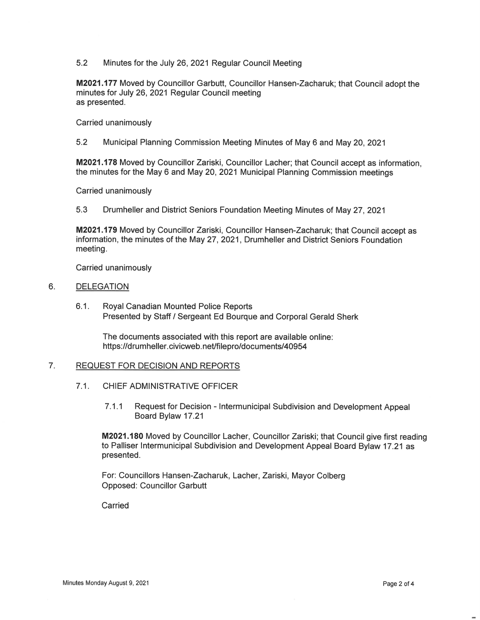5.2 Minutes for the July 26, 2021 Regular Council Meeting

M2021.177 Moved by Councillor Garbutt, Councillor Hansen-Zacharuk; that Council adopt the minutes for July 26, 2021 Regular Council meeting as presented.

Carried unanimously

5.2 Municipal Planning Commission Meeting Minutes of May 6 and May 20, 2021

M2021.178 Moved by Councillor Zariski, Councillor Lacher; that Council accept as information, the minutes for the May 6 and May 20, 2021 Municipal Planning Commission meetings

Carried unanimously

5.3 Drumheller and District Seniors Foundation Meeting Minutes of May 27, 2021

M2021.179 Moved by Councillor Zariski, Councillor Hansen-Zacharuk; that Council accept as information, the minutes of the May 27, 2021, Drumheller and District Seniors Foundation meeting.

Carried unanimously

#### 6. DELEGATION

6.1. Royal Canadian Mounted Police Reports Presented by Staff / Sergeant Ed Bourque and Corporal Gerald Sherk

The documents associated with this report are available online: https://drumheller.civicweb.net/filepro/documents/40954

#### $7<sub>1</sub>$ REQUEST FOR DECISION AND REPORTS

- 7.1. CHIEF ADMINISTRATIVE OFFICER
	- 7.1.1 Request for Decision Intermunicipal Subdivision and Development Appeal Board Bylaw 17.21

M2021.180 Moved by Councillor Lacher, Councillor Zariski; that Council give first reading to Palliser Intermunicipal Subdivision and Development Appeal Board Bylaw 17.21 as presented.

For: Councillors Hansen-Zacharuk, Lacher, Zariski, Mayor Colberg Opposed: Councillor Garbutt

Carried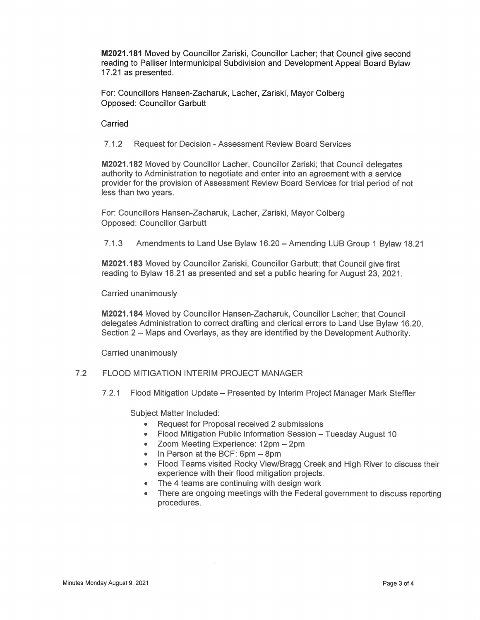M2021.181 Moved by Councillor Zariski, Councillor Lacher; that Council give second reading to Palliser lntermunicipal Subdivision and Development Appeal Board Bylaw 17.21 as presented.

For: Councillors Hansen-Zacharuk, Lacher, Zariski, Mayor Colberg Opposed: Councillor Garbutt

Carried

7.1.2 Request for Decision - Assessment Review Board Services

M2021.182 Moved by Councillor Lacher, Councillor Zariski; that Council delegates authority to Administration to negotiate and enter into an agreement with a service provider for the provision of Assessment Review Board Services for trial period of not less than two years.

For: Councillors Hansen-Zacharuk, Lacher, Zariski, Mayor Colberg Opposed: Councillor Garbutt

7.1.3 Amendments to Land Use Bylaw 16.20 - Amending LUB Group 1 Bylaw 18.21

M2021.183 Moved by Councillor Zariski, Councillor Garbutt; that Council give first reading to Bylaw 18.21 as presented and set a public hearing for August 23, 2021.

Carried unanimously

M2021.184 Moved by Councillor Hansen-Zacharuk, Councillor Lacher; that Council delegates Administration to correct drafting and clerical errors to Land Use Bylaw 16.20, Section 2 — Maps and Overlays, as they are identified by the Development Authority

Carried unanimously

# 7.2 FLOOD MITIGATION INTERIM PROJECT MANAGER

7.2.1 Flood Mitigation Update – Presented by Interim Project Manager Mark Steffler

- Subject Matter Included:<br>• Request for Proposal received 2 submissions
	- $\bullet$ Flood Mitigation Public Information Session — Tuesday August 10
	- Zoom Meeting Experience: 12pm 2pm
	- In Person at the BCF: 6pm 8pm
	- Flood Teams visited Rocky View/Bragg Creek and High River to discuss their  $\bullet$ experience with their flood mitigation projects.
	- The 4 teams are continuing with design work
	- There are ongoing meetings with the Federal government to discuss reporting procedures.